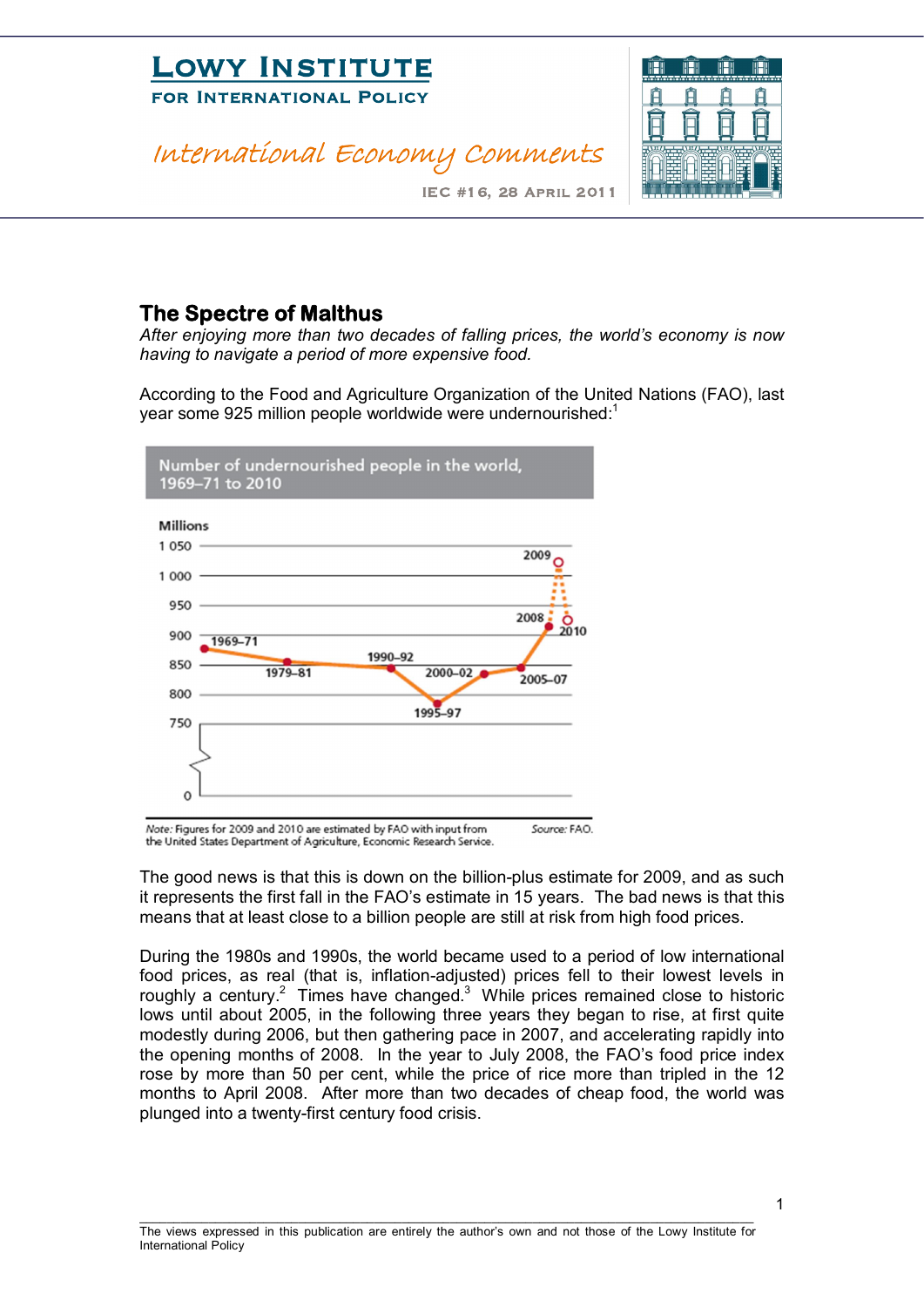

#### **The Spectre of Malthus**

*After enjoying more than two decades of falling prices, the world's economy is now having to navigate a period of more expensive food.*

According to the Food and Agriculture Organization of the United Nations (FAO), last year some 925 million people worldwide were undernourished:<sup>1</sup>



Note: Figures for 2009 and 2010 are estimated by FAO with input from Source: FAO. the United States Department of Agriculture, Economic Research Service.

The good news is that this is down on the billion-plus estimate for 2009, and as such it represents the first fall in the FAO's estimate in 15 years. The bad news is that this means that at least close to a billion people are still at risk from high food prices.

During the 1980s and 1990s, the world became used to a period of low international food prices, as real (that is, inflation-adjusted) prices fell to their lowest levels in roughly a century.<sup>2</sup> Times have changed.<sup>3</sup> While prices remained close to historic lows until about 2005, in the following three years they began to rise, at first quite modestly during 2006, but then gathering pace in 2007, and accelerating rapidly into the opening months of 2008. In the year to July 2008, the FAO's food price index rose by more than 50 per cent, while the price of rice more than tripled in the 12 months to April 2008. After more than two decades of cheap food, the world was plunged into a twenty-first century food crisis.

\_\_\_\_\_\_\_\_\_\_\_\_\_\_\_\_\_\_\_\_\_\_\_\_\_\_\_\_\_\_\_\_\_\_\_\_\_\_\_\_\_\_\_\_\_\_\_\_\_\_\_\_\_\_\_\_\_\_\_\_\_\_\_\_\_\_\_\_\_\_\_\_\_\_\_\_\_\_\_\_\_\_\_\_\_\_\_\_\_

1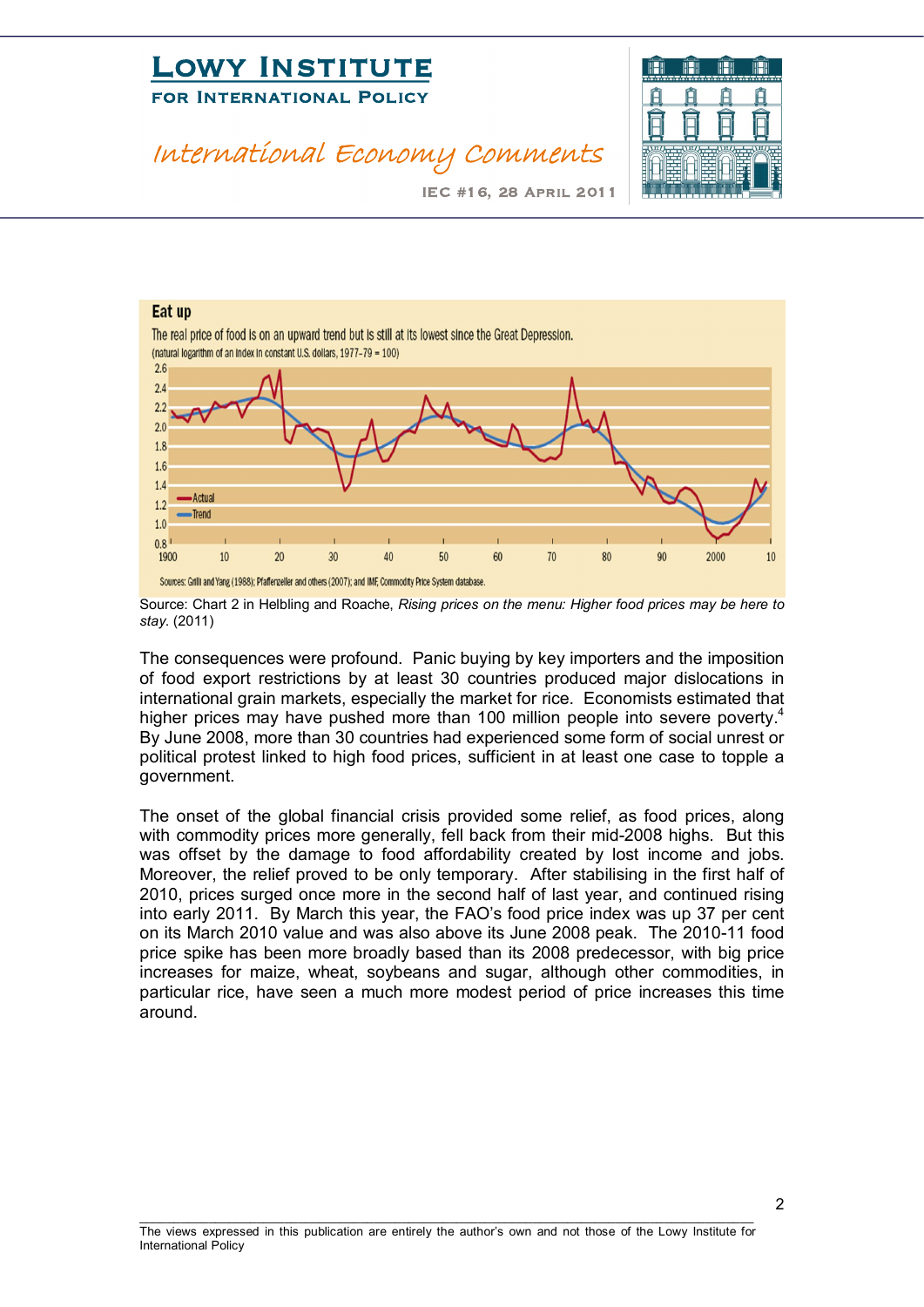## **LOWI INSTITUTE**<br>FOR INTERNATIONAL POLICY FOR INTERNATIONAL POLICE

#### International Economy Comments



IEC #16, 28 April 2011



Source: Chart 2 in Helbling and Roache, *Rising prices on the menu: Higher food prices may be here to stay*. (2011)

The consequences were profound. Panic buying by key importers and the imposition of food export restrictions by at least 30 countries produced major dislocations in international grain markets, especially the market for rice. Economists estimated that higher prices may have pushed more than 100 million people into severe poverty.<sup>4</sup> By June 2008, more than 30 countries had experienced some form of social unrest or political protest linked to high food prices, sufficient in at least one case to topple a government.

The onset of the global financial crisis provided some relief, as food prices, along with commodity prices more generally, fell back from their mid-2008 highs. But this was offset by the damage to food affordability created by lost income and jobs. Moreover, the relief proved to be only temporary. After stabilising in the first half of 2010, prices surged once more in the second half of last year, and continued rising into early 2011. By March this year, the FAO's food price index was up 37 per cent on its March 2010 value and was also above its June 2008 peak. The 2010-11 food price spike has been more broadly based than its 2008 predecessor, with big price increases for maize, wheat, soybeans and sugar, although other commodities, in particular rice, have seen a much more modest period of price increases this time around.

 $\mathfrak{p}$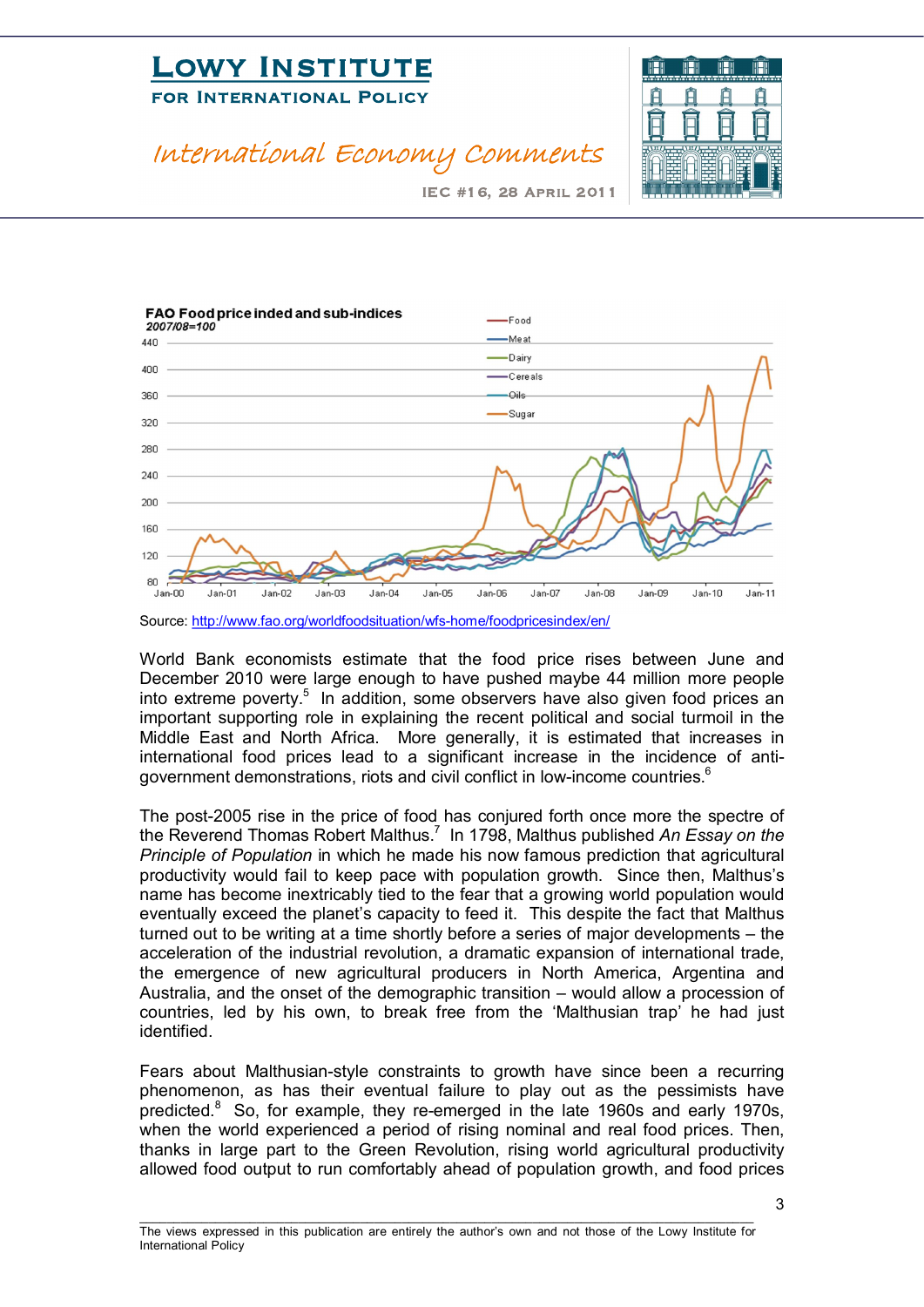### **LOWI INSTITUTE**<br>FOR INTERNATIONAL POLICY FOR INTERNATIONAL POLICE

#### International Economy Comments



IEC #16, 28 April 2011



Source: http://www.fao.org/worldfoodsituation/wfs-home/foodpricesindex/en/

World Bank economists estimate that the food price rises between June and December 2010 were large enough to have pushed maybe 44 million more people into extreme poverty.<sup>5</sup> In addition, some observers have also given food prices an important supporting role in explaining the recent political and social turmoil in the Middle East and North Africa. More generally, it is estimated that increases in international food prices lead to a significant increase in the incidence of antigovernment demonstrations, riots and civil conflict in low-income countries.<sup>6</sup>

The post-2005 rise in the price of food has conjured forth once more the spectre of the Reverend Thomas Robert Malthus. <sup>7</sup> In 1798, Malthus published *An Essay on the Principle of Population* in which he made his now famous prediction that agricultural productivity would fail to keep pace with population growth. Since then, Malthus's name has become inextricably tied to the fear that a growing world population would eventually exceed the planet's capacity to feed it. This despite the fact that Malthus turned out to be writing at a time shortly before a series of major developments – the acceleration of the industrial revolution, a dramatic expansion of international trade, the emergence of new agricultural producers in North America, Argentina and Australia, and the onset of the demographic transition – would allow a procession of countries, led by his own, to break free from the 'Malthusian trap' he had just identified.

Fears about Malthusian-style constraints to growth have since been a recurring phenomenon, as has their eventual failure to play out as the pessimists have predicted. $8\,$  So, for example, they re-emerged in the late 1960s and early 1970s, when the world experienced a period of rising nominal and real food prices. Then, thanks in large part to the Green Revolution, rising world agricultural productivity allowed food output to run comfortably ahead of population growth, and food prices